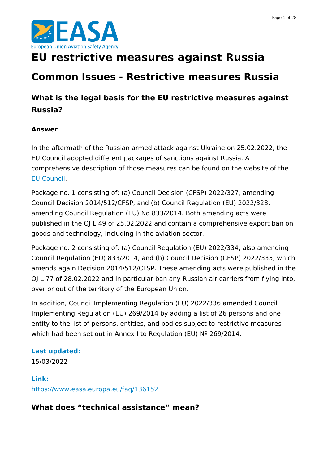



# **EU restrictive measures against Russia**

# **Common Issues - Restrictive measures Russia**

# **What is the legal basis for the EU restrictive measures against Russia?**

### **Answer**

In the aftermath of the Russian armed attack against Ukraine on 25.02.2022, the EU Council adopted different packages of sanctions against Russia. A comprehensive description of those measures can be found on the website of the EU [Council](https://www.consilium.europa.eu/en/policies/sanctions/restrictive-measures-ukraine-crisis).

Package no. 1 consisting of: (a) Council Decision (CFSP) 2022/327, amending Council Decision 2014/512/CFSP, and (b) Council Regulation (EU) 2022/328, amending Council Regulation (EU) No 833/2014. Both amending acts were published in the OJ L 49 of 25.02.2022 and contain a comprehensive export ban on goods and technology, including in the aviation sector.

Package no. 2 consisting of: (a) Council Regulation (EU) 2022/334, also amending Council Regulation (EU) 833/2014, and (b) Council Decision (CFSP) 2022/335, which amends again Decision 2014/512/CFSP. These amending acts were published in the OJ L 77 of 28.02.2022 and in particular ban any Russian air carriers from flying into, over or out of the territory of the European Union.

In addition, Council Implementing Regulation (EU) 2022/336 amended Council Implementing Regulation (EU) 269/2014 by adding a list of 26 persons and one entity to the list of persons, entities, and bodies subject to restrictive measures which had been set out in Annex I to Regulation (EU) Nº 269/2014.

### **Last updated:**

15/03/2022

**Link:** <https://www.easa.europa.eu/faq/136152>

**What does "technical assistance" mean?**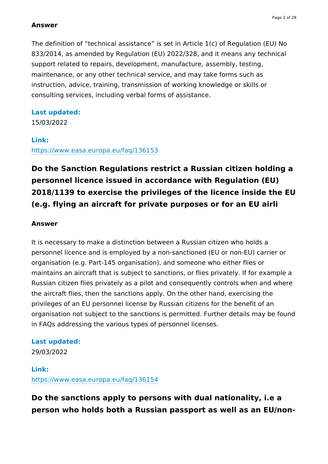The definition of "technical assistance" is set in Article 1(c) of Regulation (EU) No 833/2014, as amended by Regulation (EU) 2022/328, and it means any technical support related to repairs, development, manufacture, assembly, testing, maintenance, or any other technical service, and may take forms such as instruction, advice, training, transmission of working knowledge or skills or consulting services, including verbal forms of assistance.

### **Last updated:**

15/03/2022

### **Link:**

<https://www.easa.europa.eu/faq/136153>

# **Do the Sanction Regulations restrict a Russian citizen holding a personnel licence issued in accordance with Regulation (EU) 2018/1139 to exercise the privileges of the licence inside the EU (e.g. flying an aircraft for private purposes or for an EU airli**

### **Answer**

It is necessary to make a distinction between a Russian citizen who holds a personnel licence and is employed by a non-sanctioned (EU or non-EU) carrier or organisation (e.g. Part-145 organisation), and someone who either flies or maintains an aircraft that is subject to sanctions, or flies privately. If for example a Russian citizen flies privately as a pilot and consequently controls when and where the aircraft flies, then the sanctions apply. On the other hand, exercising the privileges of an EU personnel license by Russian citizens for the benefit of an organisation not subject to the sanctions is permitted. Further details may be found in FAQs addressing the various types of personnel licenses.

### **Last updated:**

29/03/2022

### **Link:** <https://www.easa.europa.eu/faq/136154>

## **Do the sanctions apply to persons with dual nationality, i.e a person who holds both a Russian passport as well as an EU/non-**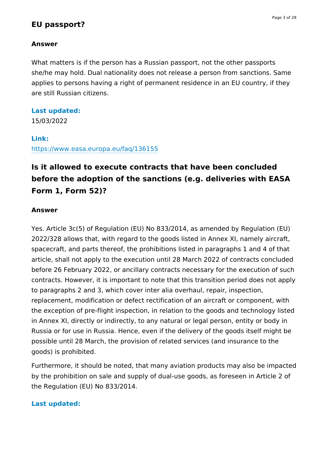### **EU passport?**

#### **Answer**

What matters is if the person has a Russian passport, not the other passports she/he may hold. Dual nationality does not release a person from sanctions. Same applies to persons having a right of permanent residence in an EU country, if they are still Russian citizens.

#### **Last updated:**

15/03/2022

#### **Link:**

<https://www.easa.europa.eu/faq/136155>

# **Is it allowed to execute contracts that have been concluded before the adoption of the sanctions (e.g. deliveries with EASA Form 1, Form 52)?**

#### **Answer**

Yes. Article 3c(5) of Regulation (EU) No 833/2014, as amended by Regulation (EU) 2022/328 allows that, with regard to the goods listed in Annex XI, namely aircraft, spacecraft, and parts thereof, the prohibitions listed in paragraphs 1 and 4 of that article, shall not apply to the execution until 28 March 2022 of contracts concluded before 26 February 2022, or ancillary contracts necessary for the execution of such contracts. However, it is important to note that this transition period does not apply to paragraphs 2 and 3, which cover inter alia overhaul, repair, inspection, replacement, modification or defect rectification of an aircraft or component, with the exception of pre-flight inspection, in relation to the goods and technology listed in Annex XI, directly or indirectly, to any natural or legal person, entity or body in Russia or for use in Russia. Hence, even if the delivery of the goods itself might be possible until 28 March, the provision of related services (and insurance to the goods) is prohibited.

Furthermore, it should be noted, that many aviation products may also be impacted by the prohibition on sale and supply of dual-use goods, as foreseen in Article 2 of the Regulation (EU) No 833/2014.

#### **Last updated:**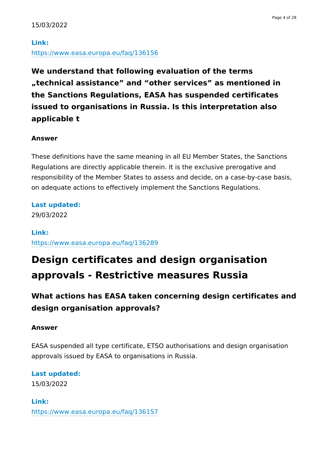## **Link:** <https://www.easa.europa.eu/faq/136156>

**We understand that following evaluation of the terms "technical assistance" and "other services" as mentioned in the Sanctions Regulations, EASA has suspended certificates issued to organisations in Russia. Is this interpretation also applicable t**

### **Answer**

These definitions have the same meaning in all EU Member States, the Sanctions Regulations are directly applicable therein. It is the exclusive prerogative and responsibility of the Member States to assess and decide, on a case-by-case basis, on adequate actions to effectively implement the Sanctions Regulations.

**Last updated:**

29/03/2022

**Link:** <https://www.easa.europa.eu/faq/136289>

# **Design certificates and design organisation approvals - Restrictive measures Russia**

# **What actions has EASA taken concerning design certificates and design organisation approvals?**

### **Answer**

EASA suspended all type certificate, ETSO authorisations and design organisation approvals issued by EASA to organisations in Russia.

**Last updated:**

15/03/2022

**Link:** <https://www.easa.europa.eu/faq/136157>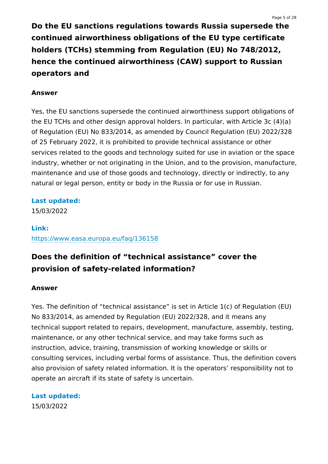**Do the EU sanctions regulations towards Russia supersede the continued airworthiness obligations of the EU type certificate holders (TCHs) stemming from Regulation (EU) No 748/2012, hence the continued airworthiness (CAW) support to Russian operators and**

#### **Answer**

Yes, the EU sanctions supersede the continued airworthiness support obligations of the EU TCHs and other design approval holders. In particular, with Article 3c (4)(a) of Regulation (EU) No 833/2014, as amended by Council Regulation (EU) 2022/328 of 25 February 2022, it is prohibited to provide technical assistance or other services related to the goods and technology suited for use in aviation or the space industry, whether or not originating in the Union, and to the provision, manufacture, maintenance and use of those goods and technology, directly or indirectly, to any natural or legal person, entity or body in the Russia or for use in Russian.

#### **Last updated:**

15/03/2022

### **Link:** <https://www.easa.europa.eu/faq/136158>

## **Does the definition of "technical assistance" cover the provision of safety-related information?**

#### **Answer**

Yes. The definition of "technical assistance" is set in Article 1(c) of Regulation (EU) No 833/2014, as amended by Regulation (EU) 2022/328, and it means any technical support related to repairs, development, manufacture, assembly, testing, maintenance, or any other technical service, and may take forms such as instruction, advice, training, transmission of working knowledge or skills or consulting services, including verbal forms of assistance. Thus, the definition covers also provision of safety related information. It is the operators' responsibility not to operate an aircraft if its state of safety is uncertain.

**Last updated:** 15/03/2022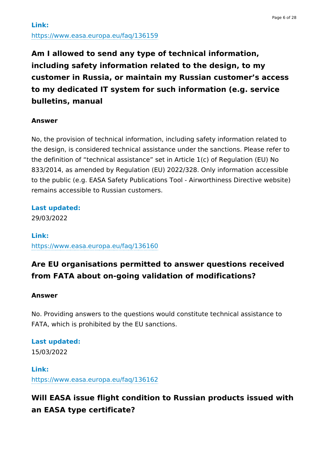**Am I allowed to send any type of technical information, including safety information related to the design, to my customer in Russia, or maintain my Russian customer's access to my dedicated IT system for such information (e.g. service bulletins, manual**

### **Answer**

No, the provision of technical information, including safety information related to the design, is considered technical assistance under the sanctions. Please refer to the definition of "technical assistance" set in Article 1(c) of Regulation (EU) No 833/2014, as amended by Regulation (EU) 2022/328. Only information accessible to the public (e.g. EASA Safety Publications Tool - Airworthiness Directive website) remains accessible to Russian customers.

### **Last updated:**

29/03/2022

### **Link:** <https://www.easa.europa.eu/faq/136160>

## **Are EU organisations permitted to answer questions received from FATA about on-going validation of modifications?**

### **Answer**

No. Providing answers to the questions would constitute technical assistance to FATA, which is prohibited by the EU sanctions.

### **Last updated:** 15/03/2022

**Link:**

<https://www.easa.europa.eu/faq/136162>

# **Will EASA issue flight condition to Russian products issued with an EASA type certificate?**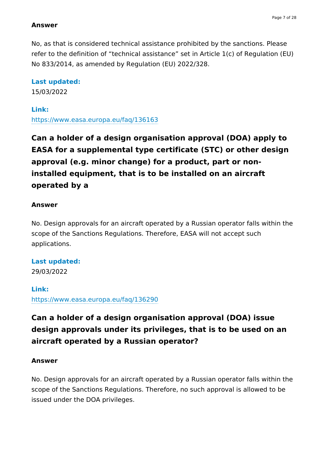No, as that is considered technical assistance prohibited by the sanctions. Please refer to the definition of "technical assistance" set in Article 1(c) of Regulation (EU) No 833/2014, as amended by Regulation (EU) 2022/328.

#### **Last updated:**

15/03/2022

#### **Link:**

<https://www.easa.europa.eu/faq/136163>

**Can a holder of a design organisation approval (DOA) apply to EASA for a supplemental type certificate (STC) or other design approval (e.g. minor change) for a product, part or noninstalled equipment, that is to be installed on an aircraft operated by a**

#### **Answer**

No. Design approvals for an aircraft operated by a Russian operator falls within the scope of the Sanctions Regulations. Therefore, EASA will not accept such applications.

### **Last updated:**

29/03/2022

### **Link:** <https://www.easa.europa.eu/faq/136290>

# **Can a holder of a design organisation approval (DOA) issue design approvals under its privileges, that is to be used on an aircraft operated by a Russian operator?**

### **Answer**

No. Design approvals for an aircraft operated by a Russian operator falls within the scope of the Sanctions Regulations. Therefore, no such approval is allowed to be issued under the DOA privileges.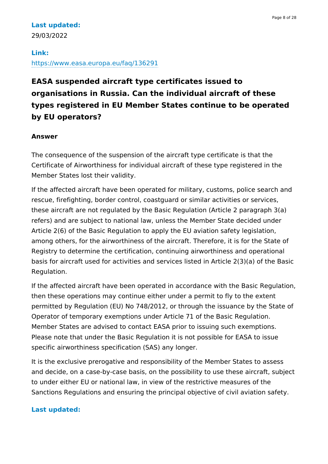### **Last updated:** 29/03/2022

### **Link:** <https://www.easa.europa.eu/faq/136291>

# **EASA suspended aircraft type certificates issued to organisations in Russia. Can the individual aircraft of these types registered in EU Member States continue to be operated by EU operators?**

### **Answer**

The consequence of the suspension of the aircraft type certificate is that the Certificate of Airworthiness for individual aircraft of these type registered in the Member States lost their validity.

If the affected aircraft have been operated for military, customs, police search and rescue, firefighting, border control, coastguard or similar activities or services, these aircraft are not regulated by the Basic Regulation (Article 2 paragraph 3(a) refers) and are subject to national law, unless the Member State decided under Article 2(6) of the Basic Regulation to apply the EU aviation safety legislation, among others, for the airworthiness of the aircraft. Therefore, it is for the State of Registry to determine the certification, continuing airworthiness and operational basis for aircraft used for activities and services listed in Article 2(3)(a) of the Basic Regulation.

If the affected aircraft have been operated in accordance with the Basic Regulation, then these operations may continue either under a permit to fly to the extent permitted by Regulation (EU) No 748/2012, or through the issuance by the State of Operator of temporary exemptions under Article 71 of the Basic Regulation. Member States are advised to contact EASA prior to issuing such exemptions. Please note that under the Basic Regulation it is not possible for EASA to issue specific airworthiness specification (SAS) any longer.

It is the exclusive prerogative and responsibility of the Member States to assess and decide, on a case-by-case basis, on the possibility to use these aircraft, subject to under either EU or national law, in view of the restrictive measures of the Sanctions Regulations and ensuring the principal objective of civil aviation safety.

### **Last updated:**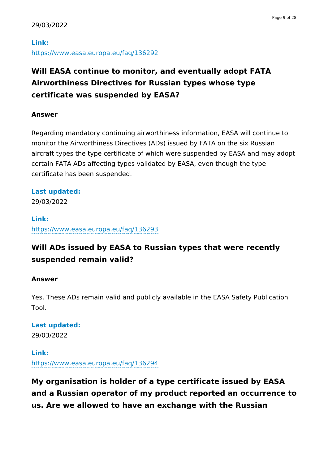### **Link:** <https://www.easa.europa.eu/faq/136292>

# **Will EASA continue to monitor, and eventually adopt FATA Airworthiness Directives for Russian types whose type certificate was suspended by EASA?**

### **Answer**

Regarding mandatory continuing airworthiness information, EASA will continue to monitor the Airworthiness Directives (ADs) issued by FATA on the six Russian aircraft types the type certificate of which were suspended by EASA and may adopt certain FATA ADs affecting types validated by EASA, even though the type certificate has been suspended.

### **Last updated:**

29/03/2022

# **Link:**

<https://www.easa.europa.eu/faq/136293>

# **Will ADs issued by EASA to Russian types that were recently suspended remain valid?**

### **Answer**

Yes. These ADs remain valid and publicly available in the EASA Safety Publication Tool.

### **Last updated:** 29/03/2022

**Link:** <https://www.easa.europa.eu/faq/136294>

**My organisation is holder of a type certificate issued by EASA and a Russian operator of my product reported an occurrence to us. Are we allowed to have an exchange with the Russian**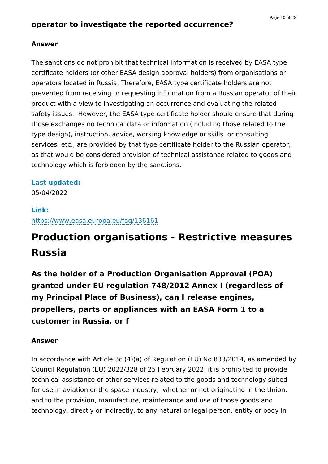The sanctions do not prohibit that technical information is received by EASA type certificate holders (or other EASA design approval holders) from organisations or operators located in Russia. Therefore, EASA type certificate holders are not prevented from receiving or requesting information from a Russian operator of their product with a view to investigating an occurrence and evaluating the related safety issues. However, the EASA type certificate holder should ensure that during those exchanges no technical data or information (including those related to the type design), instruction, advice, working knowledge or skills or consulting services, etc., are provided by that type certificate holder to the Russian operator, as that would be considered provision of technical assistance related to goods and technology which is forbidden by the sanctions.

### **Last updated:**

05/04/2022

### **Link:**

<https://www.easa.europa.eu/faq/136161>

# **Production organisations - Restrictive measures Russia**

**As the holder of a Production Organisation Approval (POA) granted under EU regulation 748/2012 Annex I (regardless of my Principal Place of Business), can I release engines, propellers, parts or appliances with an EASA Form 1 to a customer in Russia, or f**

### **Answer**

In accordance with Article 3c (4)(a) of Regulation (EU) No 833/2014, as amended by Council Regulation (EU) 2022/328 of 25 February 2022, it is prohibited to provide technical assistance or other services related to the goods and technology suited for use in aviation or the space industry, whether or not originating in the Union, and to the provision, manufacture, maintenance and use of those goods and technology, directly or indirectly, to any natural or legal person, entity or body in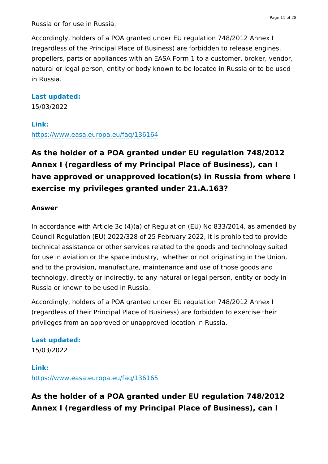Russia or for use in Russia.

Accordingly, holders of a POA granted under EU regulation 748/2012 Annex I (regardless of the Principal Place of Business) are forbidden to release engines, propellers, parts or appliances with an EASA Form 1 to a customer, broker, vendor, natural or legal person, entity or body known to be located in Russia or to be used in Russia.

### **Last updated:**

15/03/2022

### **Link:**

<https://www.easa.europa.eu/faq/136164>

**As the holder of a POA granted under EU regulation 748/2012 Annex I (regardless of my Principal Place of Business), can I have approved or unapproved location(s) in Russia from where I exercise my privileges granted under 21.A.163?**

#### **Answer**

In accordance with Article 3c (4)(a) of Regulation (EU) No 833/2014, as amended by Council Regulation (EU) 2022/328 of 25 February 2022, it is prohibited to provide technical assistance or other services related to the goods and technology suited for use in aviation or the space industry, whether or not originating in the Union, and to the provision, manufacture, maintenance and use of those goods and technology, directly or indirectly, to any natural or legal person, entity or body in Russia or known to be used in Russia.

Accordingly, holders of a POA granted under EU regulation 748/2012 Annex I (regardless of their Principal Place of Business) are forbidden to exercise their privileges from an approved or unapproved location in Russia.

### **Last updated:**

15/03/2022

### **Link:** <https://www.easa.europa.eu/faq/136165>

**As the holder of a POA granted under EU regulation 748/2012 Annex I (regardless of my Principal Place of Business), can I**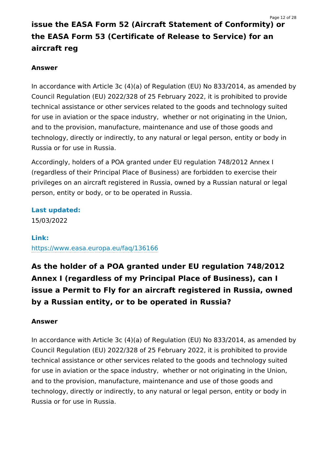# **issue the EASA Form 52 (Aircraft Statement of Conformity) or the EASA Form 53 (Certificate of Release to Service) for an aircraft reg**

### **Answer**

In accordance with Article 3c (4)(a) of Regulation (EU) No 833/2014, as amended by Council Regulation (EU) 2022/328 of 25 February 2022, it is prohibited to provide technical assistance or other services related to the goods and technology suited for use in aviation or the space industry, whether or not originating in the Union, and to the provision, manufacture, maintenance and use of those goods and technology, directly or indirectly, to any natural or legal person, entity or body in Russia or for use in Russia.

Accordingly, holders of a POA granted under EU regulation 748/2012 Annex I (regardless of their Principal Place of Business) are forbidden to exercise their privileges on an aircraft registered in Russia, owned by a Russian natural or legal person, entity or body, or to be operated in Russia.

**Last updated:** 15/03/2022

### **Link:**

<https://www.easa.europa.eu/faq/136166>

**As the holder of a POA granted under EU regulation 748/2012 Annex I (regardless of my Principal Place of Business), can I issue a Permit to Fly for an aircraft registered in Russia, owned by a Russian entity, or to be operated in Russia?**

### **Answer**

In accordance with Article 3c (4)(a) of Regulation (EU) No 833/2014, as amended by Council Regulation (EU) 2022/328 of 25 February 2022, it is prohibited to provide technical assistance or other services related to the goods and technology suited for use in aviation or the space industry, whether or not originating in the Union, and to the provision, manufacture, maintenance and use of those goods and technology, directly or indirectly, to any natural or legal person, entity or body in Russia or for use in Russia.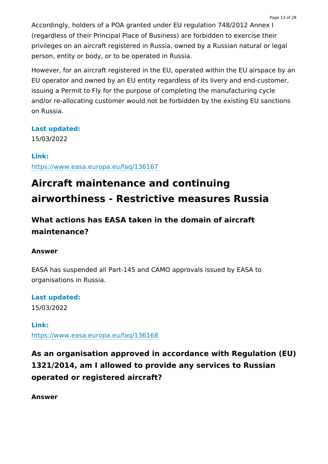Accordingly, holders of a POA granted under EU regulation 748/2012 Annex I (regardless of their Principal Place of Business) are forbidden to exercise their privileges on an aircraft registered in Russia, owned by a Russian natural or legal person, entity or body, or to be operated in Russia.

However, for an aircraft registered in the EU, operated within the EU airspace by an EU operator and owned by an EU entity regardless of its livery and end-customer, issuing a Permit to Fly for the purpose of completing the manufacturing cycle and/or re-allocating customer would not be forbidden by the existing EU sanctions on Russia.

### **Last updated:**

15/03/2022

### **Link:**

<https://www.easa.europa.eu/faq/136167>

# **Aircraft maintenance and continuing airworthiness - Restrictive measures Russia**

# **What actions has EASA taken in the domain of aircraft maintenance?**

### **Answer**

EASA has suspended all Part-145 and CAMO approvals issued by EASA to organisations in Russia.

**Last updated:** 15/03/2022

**Link:** <https://www.easa.europa.eu/faq/136168>

**As an organisation approved in accordance with Regulation (EU) 1321/2014, am I allowed to provide any services to Russian operated or registered aircraft?**

**Answer**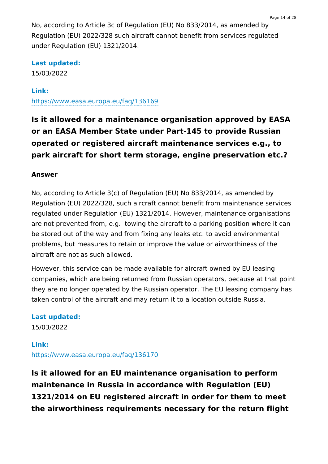No, according to Article 3c of Regulation (EU) No 833/2014, as amended by Regulation (EU) 2022/328 such aircraft cannot benefit from services regulated under Regulation (EU) 1321/2014.

### **Last updated:**

15/03/2022

### **Link:**

<https://www.easa.europa.eu/faq/136169>

**Is it allowed for a maintenance organisation approved by EASA or an EASA Member State under Part-145 to provide Russian operated or registered aircraft maintenance services e.g., to park aircraft for short term storage, engine preservation etc.?**

#### **Answer**

No, according to Article 3(c) of Regulation (EU) No 833/2014, as amended by Regulation (EU) 2022/328, such aircraft cannot benefit from maintenance services regulated under Regulation (EU) 1321/2014. However, maintenance organisations are not prevented from, e.g. towing the aircraft to a parking position where it can be stored out of the way and from fixing any leaks etc. to avoid environmental problems, but measures to retain or improve the value or airworthiness of the aircraft are not as such allowed.

However, this service can be made available for aircraft owned by EU leasing companies, which are being returned from Russian operators, because at that point they are no longer operated by the Russian operator. The EU leasing company has taken control of the aircraft and may return it to a location outside Russia.

**Last updated:** 15/03/2022

### **Link:** <https://www.easa.europa.eu/faq/136170>

**Is it allowed for an EU maintenance organisation to perform maintenance in Russia in accordance with Regulation (EU) 1321/2014 on EU registered aircraft in order for them to meet the airworthiness requirements necessary for the return flight**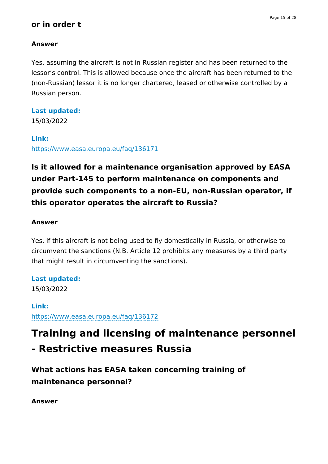#### Page 15 of 28

### **or in order t**

### **Answer**

Yes, assuming the aircraft is not in Russian register and has been returned to the lessor's control. This is allowed because once the aircraft has been returned to the (non-Russian) lessor it is no longer chartered, leased or otherwise controlled by a Russian person.

### **Last updated:**

15/03/2022

### **Link:**

<https://www.easa.europa.eu/faq/136171>

# **Is it allowed for a maintenance organisation approved by EASA under Part-145 to perform maintenance on components and provide such components to a non-EU, non-Russian operator, if this operator operates the aircraft to Russia?**

### **Answer**

Yes, if this aircraft is not being used to fly domestically in Russia, or otherwise to circumvent the sanctions (N.B. Article 12 prohibits any measures by a third party that might result in circumventing the sanctions).

# **Last updated:**

15/03/2022

### **Link:** <https://www.easa.europa.eu/faq/136172>

# **Training and licensing of maintenance personnel - Restrictive measures Russia**

**What actions has EASA taken concerning training of maintenance personnel?**

**Answer**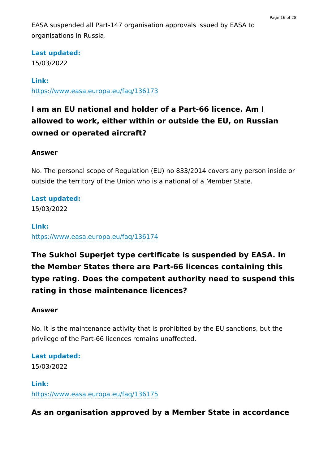EASA suspended all Part-147 organisation approvals issued by EASA to organisations in Russia.

### **Last updated:**

15/03/2022

### **Link:**

<https://www.easa.europa.eu/faq/136173>

# **I am an EU national and holder of a Part-66 licence. Am I allowed to work, either within or outside the EU, on Russian owned or operated aircraft?**

### **Answer**

No. The personal scope of Regulation (EU) no 833/2014 covers any person inside or outside the territory of the Union who is a national of a Member State.

### **Last updated:**

15/03/2022

### **Link:**

<https://www.easa.europa.eu/faq/136174>

# **The Sukhoi Superjet type certificate is suspended by EASA. In the Member States there are Part-66 licences containing this type rating. Does the competent authority need to suspend this rating in those maintenance licences?**

### **Answer**

No. It is the maintenance activity that is prohibited by the EU sanctions, but the privilege of the Part-66 licences remains unaffected.

**Last updated:** 15/03/2022

**Link:** <https://www.easa.europa.eu/faq/136175>

**As an organisation approved by a Member State in accordance**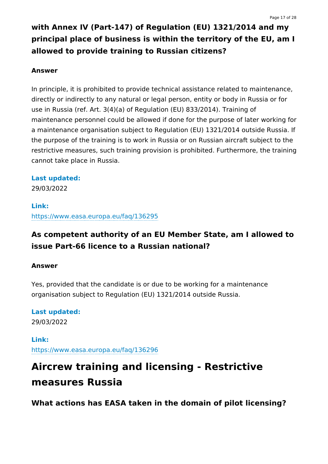# **with Annex IV (Part-147) of Regulation (EU) 1321/2014 and my principal place of business is within the territory of the EU, am I allowed to provide training to Russian citizens?**

#### **Answer**

In principle, it is prohibited to provide technical assistance related to maintenance, directly or indirectly to any natural or legal person, entity or body in Russia or for use in Russia (ref. Art. 3(4)(a) of Regulation (EU) 833/2014). Training of maintenance personnel could be allowed if done for the purpose of later working for a maintenance organisation subject to Regulation (EU) 1321/2014 outside Russia. If the purpose of the training is to work in Russia or on Russian aircraft subject to the restrictive measures, such training provision is prohibited. Furthermore, the training cannot take place in Russia.

### **Last updated:**

29/03/2022

### **Link:**

<https://www.easa.europa.eu/faq/136295>

## **As competent authority of an EU Member State, am I allowed to issue Part-66 licence to a Russian national?**

### **Answer**

Yes, provided that the candidate is or due to be working for a maintenance organisation subject to Regulation (EU) 1321/2014 outside Russia.

### **Last updated:** 29/03/2022

**Link:** <https://www.easa.europa.eu/faq/136296>

# **Aircrew training and licensing - Restrictive measures Russia**

**What actions has EASA taken in the domain of pilot licensing?**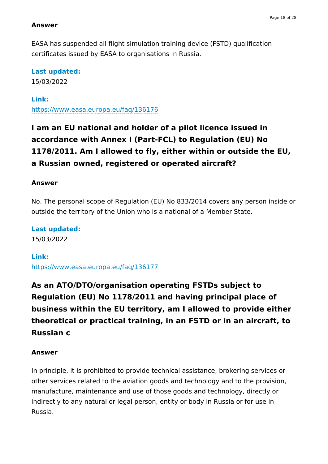EASA has suspended all flight simulation training device (FSTD) qualification certificates issued by EASA to organisations in Russia.

### **Last updated:**

15/03/2022

### **Link:**

<https://www.easa.europa.eu/faq/136176>

# **I am an EU national and holder of a pilot licence issued in accordance with Annex I (Part-FCL) to Regulation (EU) No 1178/2011. Am I allowed to fly, either within or outside the EU, a Russian owned, registered or operated aircraft?**

### **Answer**

No. The personal scope of Regulation (EU) No 833/2014 covers any person inside or outside the territory of the Union who is a national of a Member State.

**Last updated:** 15/03/2022

### **Link:**

<https://www.easa.europa.eu/faq/136177>

**As an ATO/DTO/organisation operating FSTDs subject to Regulation (EU) No 1178/2011 and having principal place of business within the EU territory, am I allowed to provide either theoretical or practical training, in an FSTD or in an aircraft, to Russian c**

### **Answer**

In principle, it is prohibited to provide technical assistance, brokering services or other services related to the aviation goods and technology and to the provision, manufacture, maintenance and use of those goods and technology, directly or indirectly to any natural or legal person, entity or body in Russia or for use in Russia.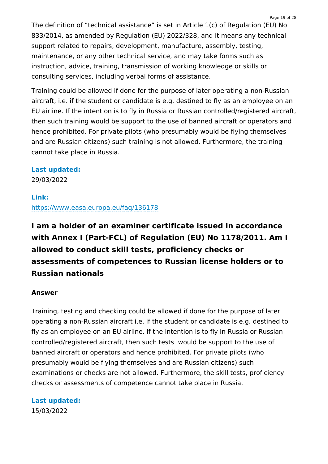The definition of "technical assistance" is set in Article 1(c) of Regulation (EU) No 833/2014, as amended by Regulation (EU) 2022/328, and it means any technical support related to repairs, development, manufacture, assembly, testing, maintenance, or any other technical service, and may take forms such as instruction, advice, training, transmission of working knowledge or skills or consulting services, including verbal forms of assistance.

Training could be allowed if done for the purpose of later operating a non-Russian aircraft, i.e. if the student or candidate is e.g. destined to fly as an employee on an EU airline. If the intention is to fly in Russia or Russian controlled/registered aircraft, then such training would be support to the use of banned aircraft or operators and hence prohibited. For private pilots (who presumably would be flying themselves and are Russian citizens) such training is not allowed. Furthermore, the training cannot take place in Russia.

### **Last updated:**

29/03/2022

### **Link:**

<https://www.easa.europa.eu/faq/136178>

**I am a holder of an examiner certificate issued in accordance with Annex I (Part-FCL) of Regulation (EU) No 1178/2011. Am I allowed to conduct skill tests, proficiency checks or assessments of competences to Russian license holders or to Russian nationals**

### **Answer**

Training, testing and checking could be allowed if done for the purpose of later operating a non-Russian aircraft i.e. if the student or candidate is e.g. destined to fly as an employee on an EU airline. If the intention is to fly in Russia or Russian controlled/registered aircraft, then such tests would be support to the use of banned aircraft or operators and hence prohibited. For private pilots (who presumably would be flying themselves and are Russian citizens) such examinations or checks are not allowed. Furthermore, the skill tests, proficiency checks or assessments of competence cannot take place in Russia.

### **Last updated:**

15/03/2022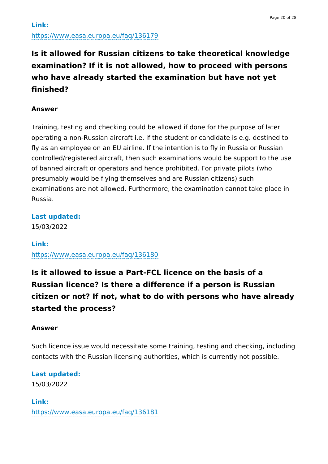# **Is it allowed for Russian citizens to take theoretical knowledge examination? If it is not allowed, how to proceed with persons who have already started the examination but have not yet finished?**

### **Answer**

Training, testing and checking could be allowed if done for the purpose of later operating a non-Russian aircraft i.e. if the student or candidate is e.g. destined to fly as an employee on an EU airline. If the intention is to fly in Russia or Russian controlled/registered aircraft, then such examinations would be support to the use of banned aircraft or operators and hence prohibited. For private pilots (who presumably would be flying themselves and are Russian citizens) such examinations are not allowed. Furthermore, the examination cannot take place in Russia.

### **Last updated:**

15/03/2022

### **Link:**

<https://www.easa.europa.eu/faq/136180>

**Is it allowed to issue a Part-FCL licence on the basis of a Russian licence? Is there a difference if a person is Russian citizen or not? If not, what to do with persons who have already started the process?**

### **Answer**

Such licence issue would necessitate some training, testing and checking, including contacts with the Russian licensing authorities, which is currently not possible.

# **Last updated:**

15/03/2022

**Link:** <https://www.easa.europa.eu/faq/136181>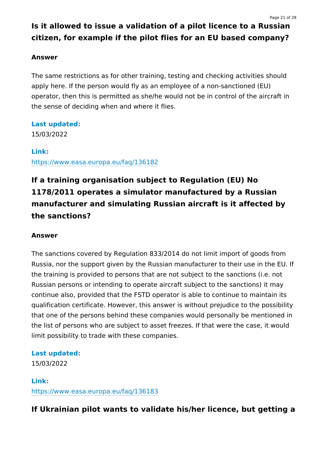# **Is it allowed to issue a validation of a pilot licence to a Russian citizen, for example if the pilot flies for an EU based company?**

### **Answer**

The same restrictions as for other training, testing and checking activities should apply here. If the person would fly as an employee of a non-sanctioned (EU) operator, then this is permitted as she/he would not be in control of the aircraft in the sense of deciding when and where it flies.

### **Last updated:**

15/03/2022

#### **Link:**

<https://www.easa.europa.eu/faq/136182>

# **If a training organisation subject to Regulation (EU) No 1178/2011 operates a simulator manufactured by a Russian manufacturer and simulating Russian aircraft is it affected by the sanctions?**

### **Answer**

The sanctions covered by Regulation 833/2014 do not limit import of goods from Russia, nor the support given by the Russian manufacturer to their use in the EU. If the training is provided to persons that are not subject to the sanctions (i.e. not Russian persons or intending to operate aircraft subject to the sanctions) it may continue also, provided that the FSTD operator is able to continue to maintain its qualification certificate. However, this answer is without prejudice to the possibility that one of the persons behind these companies would personally be mentioned in the list of persons who are subject to asset freezes. If that were the case, it would limit possibility to trade with these companies.

### **Last updated:**

15/03/2022

**Link:** <https://www.easa.europa.eu/faq/136183>

**If Ukrainian pilot wants to validate his/her licence, but getting a**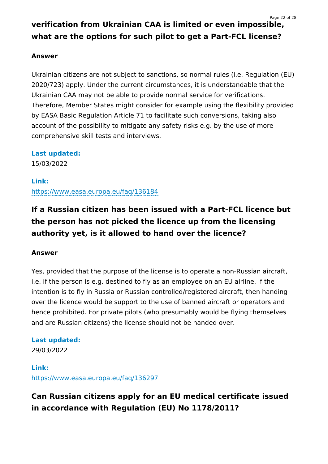# **verification from Ukrainian CAA is limited or even impossible, what are the options for such pilot to get a Part-FCL license?**

### **Answer**

Ukrainian citizens are not subject to sanctions, so normal rules (i.e. Regulation (EU) 2020/723) apply. Under the current circumstances, it is understandable that the Ukrainian CAA may not be able to provide normal service for verifications. Therefore, Member States might consider for example using the flexibility provided by EASA Basic Regulation Article 71 to facilitate such conversions, taking also account of the possibility to mitigate any safety risks e.g. by the use of more comprehensive skill tests and interviews.

**Last updated:**

15/03/2022

**Link:** <https://www.easa.europa.eu/faq/136184>

## **If a Russian citizen has been issued with a Part-FCL licence but the person has not picked the licence up from the licensing authority yet, is it allowed to hand over the licence?**

### **Answer**

Yes, provided that the purpose of the license is to operate a non-Russian aircraft, i.e. if the person is e.g. destined to fly as an employee on an EU airline. If the intention is to fly in Russia or Russian controlled/registered aircraft, then handing over the licence would be support to the use of banned aircraft or operators and hence prohibited. For private pilots (who presumably would be flying themselves and are Russian citizens) the license should not be handed over.

### **Last updated:**

29/03/2022

**Link:** <https://www.easa.europa.eu/faq/136297>

**Can Russian citizens apply for an EU medical certificate issued in accordance with Regulation (EU) No 1178/2011?**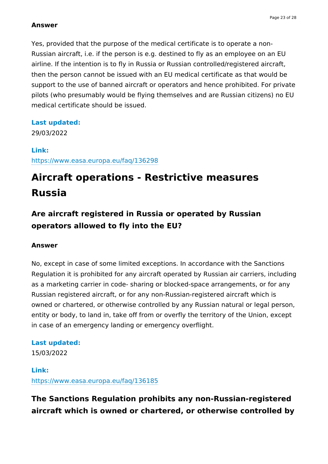Yes, provided that the purpose of the medical certificate is to operate a non-Russian aircraft, i.e. if the person is e.g. destined to fly as an employee on an EU airline. If the intention is to fly in Russia or Russian controlled/registered aircraft, then the person cannot be issued with an EU medical certificate as that would be support to the use of banned aircraft or operators and hence prohibited. For private pilots (who presumably would be flying themselves and are Russian citizens) no EU medical certificate should be issued.

#### **Last updated:**

29/03/2022

**Link:** <https://www.easa.europa.eu/faq/136298>

# **Aircraft operations - Restrictive measures Russia**

**Are aircraft registered in Russia or operated by Russian operators allowed to fly into the EU?**

#### **Answer**

No, except in case of some limited exceptions. In accordance with the Sanctions Regulation it is prohibited for any aircraft operated by Russian air carriers, including as a marketing carrier in code- sharing or blocked-space arrangements, or for any Russian registered aircraft, or for any non-Russian-registered aircraft which is owned or chartered, or otherwise controlled by any Russian natural or legal person, entity or body, to land in, take off from or overfly the territory of the Union, except in case of an emergency landing or emergency overflight.

#### **Last updated:**

15/03/2022

### **Link:** <https://www.easa.europa.eu/faq/136185>

### **The Sanctions Regulation prohibits any non-Russian-registered aircraft which is owned or chartered, or otherwise controlled by**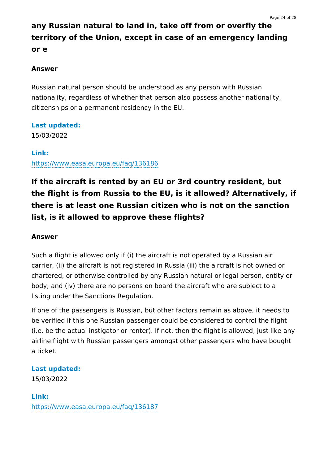# **any Russian natural to land in, take off from or overfly the territory of the Union, except in case of an emergency landing or e**

### **Answer**

Russian natural person should be understood as any person with Russian nationality, regardless of whether that person also possess another nationality, citizenships or a permanent residency in the EU.

### **Last updated:**

15/03/2022

#### **Link:**

<https://www.easa.europa.eu/faq/136186>

# **If the aircraft is rented by an EU or 3rd country resident, but the flight is from Russia to the EU, is it allowed? Alternatively, if there is at least one Russian citizen who is not on the sanction list, is it allowed to approve these flights?**

### **Answer**

Such a flight is allowed only if (i) the aircraft is not operated by a Russian air carrier, (ii) the aircraft is not registered in Russia (iii) the aircraft is not owned or chartered, or otherwise controlled by any Russian natural or legal person, entity or body; and (iv) there are no persons on board the aircraft who are subject to a listing under the Sanctions Regulation.

If one of the passengers is Russian, but other factors remain as above, it needs to be verified if this one Russian passenger could be considered to control the flight (i.e. be the actual instigator or renter). If not, then the flight is allowed, just like any airline flight with Russian passengers amongst other passengers who have bought a ticket.

### **Last updated:**

15/03/2022

### **Link:**

<https://www.easa.europa.eu/faq/136187>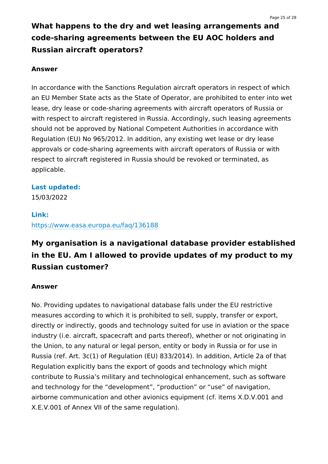# **What happens to the dry and wet leasing arrangements and code-sharing agreements between the EU AOC holders and Russian aircraft operators?**

### **Answer**

In accordance with the Sanctions Regulation aircraft operators in respect of which an EU Member State acts as the State of Operator, are prohibited to enter into wet lease, dry lease or code-sharing agreements with aircraft operators of Russia or with respect to aircraft registered in Russia. Accordingly, such leasing agreements should not be approved by National Competent Authorities in accordance with Regulation (EU) No 965/2012. In addition, any existing wet lease or dry lease approvals or code-sharing agreements with aircraft operators of Russia or with respect to aircraft registered in Russia should be revoked or terminated, as applicable.

### **Last updated:**

15/03/2022

### **Link:**

<https://www.easa.europa.eu/faq/136188>

# **My organisation is a navigational database provider established in the EU. Am I allowed to provide updates of my product to my Russian customer?**

### **Answer**

No. Providing updates to navigational database falls under the EU restrictive measures according to which it is prohibited to sell, supply, transfer or export, directly or indirectly, goods and technology suited for use in aviation or the space industry (i.e. aircraft, spacecraft and parts thereof), whether or not originating in the Union, to any natural or legal person, entity or body in Russia or for use in Russia (ref. Art. 3c(1) of Regulation (EU) 833/2014). In addition, Article 2a of that Regulation explicitly bans the export of goods and technology which might contribute to Russia's military and technological enhancement, such as software and technology for the "development", "production" or "use" of navigation, airborne communication and other avionics equipment (cf. items X.D.V.001 and X.E.V.001 of Annex VII of the same regulation).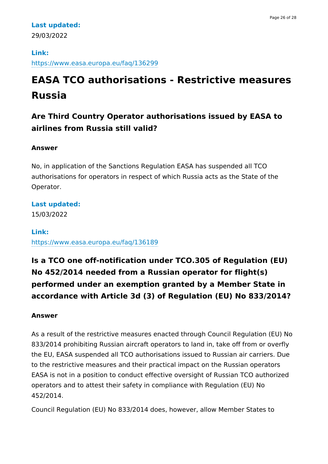### **Last updated:** 29/03/2022

### **Link:** <https://www.easa.europa.eu/faq/136299>

# **EASA TCO authorisations - Restrictive measures Russia**

# **Are Third Country Operator authorisations issued by EASA to airlines from Russia still valid?**

### **Answer**

No, in application of the Sanctions Regulation EASA has suspended all TCO authorisations for operators in respect of which Russia acts as the State of the Operator.

**Last updated:**

15/03/2022

### **Link:**

<https://www.easa.europa.eu/faq/136189>

# **Is a TCO one off-notification under TCO.305 of Regulation (EU) No 452/2014 needed from a Russian operator for flight(s) performed under an exemption granted by a Member State in accordance with Article 3d (3) of Regulation (EU) No 833/2014?**

### **Answer**

As a result of the restrictive measures enacted through Council Regulation (EU) No 833/2014 prohibiting Russian aircraft operators to land in, take off from or overfly the EU, EASA suspended all TCO authorisations issued to Russian air carriers. Due to the restrictive measures and their practical impact on the Russian operators EASA is not in a position to conduct effective oversight of Russian TCO authorized operators and to attest their safety in compliance with Regulation (EU) No 452/2014.

Council Regulation (EU) No 833/2014 does, however, allow Member States to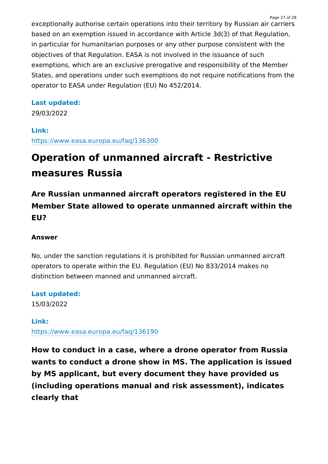exceptionally authorise certain operations into their territory by Russian air carriers based on an exemption issued in accordance with Article 3d(3) of that Regulation, in particular for humanitarian purposes or any other purpose consistent with the objectives of that Regulation. EASA is not involved in the issuance of such exemptions, which are an exclusive prerogative and responsibility of the Member States, and operations under such exemptions do not require notifications from the operator to EASA under Regulation (EU) No 452/2014.

### **Last updated:**

29/03/2022

### **Link:** <https://www.easa.europa.eu/faq/136300>

# **Operation of unmanned aircraft - Restrictive measures Russia**

**Are Russian unmanned aircraft operators registered in the EU Member State allowed to operate unmanned aircraft within the EU?**

### **Answer**

No, under the sanction regulations it is prohibited for Russian unmanned aircraft operators to operate within the EU. Regulation (EU) No 833/2014 makes no distinction between manned and unmanned aircraft.

**Last updated:**

15/03/2022

### **Link:**

<https://www.easa.europa.eu/faq/136190>

**How to conduct in a case, where a drone operator from Russia wants to conduct a drone show in MS. The application is issued by MS applicant, but every document they have provided us (including operations manual and risk assessment), indicates clearly that**